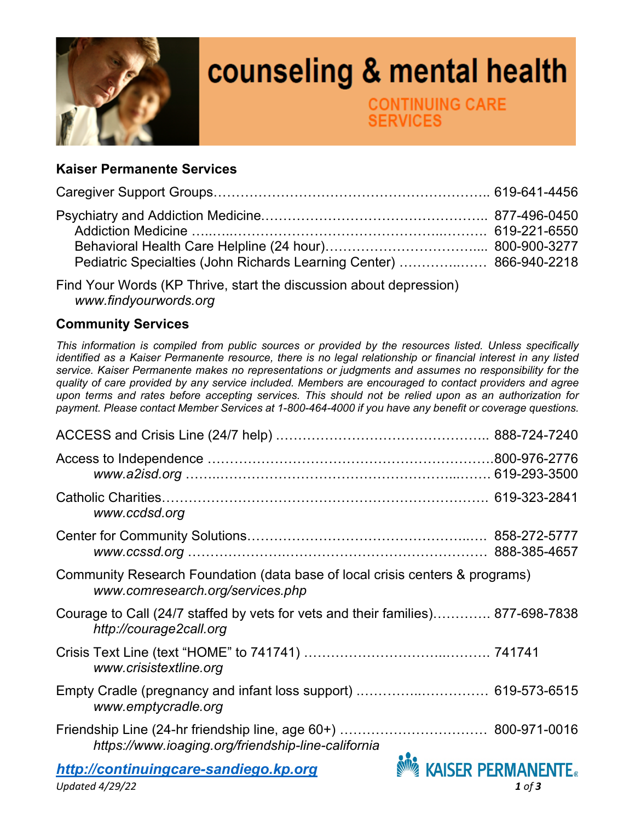

## counseling & mental health

**CONTINUING CARE ERVICES** 

## **Kaiser Permanente Services**

| Pediatric Specialties (John Richards Learning Center)  866-940-2218 |  |
|---------------------------------------------------------------------|--|

Find Your Words (KP Thrive, start the discussion about depression)  *www.findyourwords.org* 

## **Community Services**

*This information is compiled from public sources or provided by the resources listed. Unless specifically identified as a Kaiser Permanente resource, there is no legal relationship or financial interest in any listed service. Kaiser Permanente makes no representations or judgments and assumes no responsibility for the quality of care provided by any service included. Members are encouraged to contact providers and agree upon terms and rates before accepting services. This should not be relied upon as an authorization for payment. Please contact Member Services at 1-800-464-4000 if you have any benefit or coverage questions.* 

| www.ccdsd.org                                                                                                    |                          |
|------------------------------------------------------------------------------------------------------------------|--------------------------|
|                                                                                                                  |                          |
| Community Research Foundation (data base of local crisis centers & programs)<br>www.comresearch.org/services.php |                          |
| Courage to Call (24/7 staffed by vets for vets and their families) 877-698-7838<br>http://courage2call.org       |                          |
| www.crisistextline.org                                                                                           |                          |
| www.emptycradle.org                                                                                              |                          |
| https://www.ioaging.org/friendship-line-california                                                               |                          |
| http://continuingcare-sandiego.kp.org                                                                            | <b>KAISER PERMANENTE</b> |
| Updated $4/29/22$                                                                                                | $1$ of $3$               |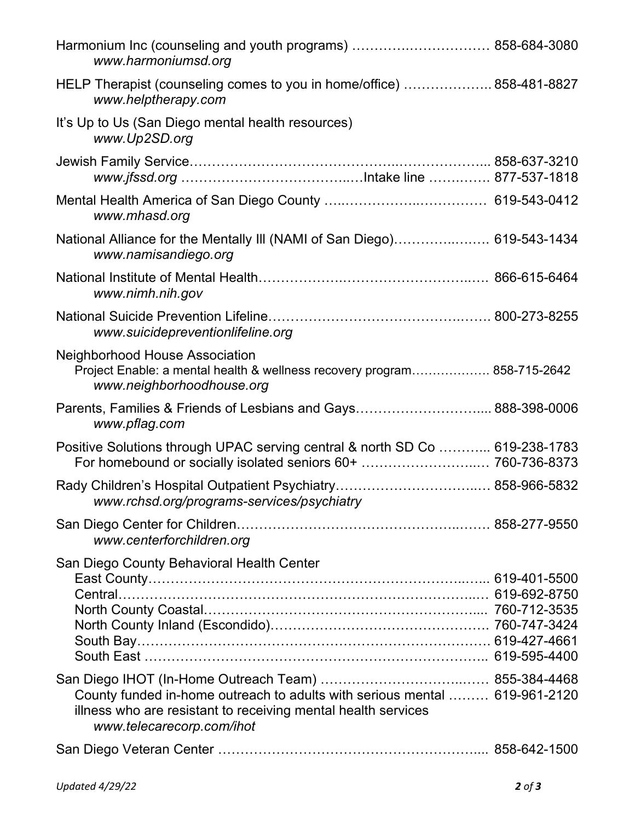| Harmonium Inc (counseling and youth programs)  858-684-3080<br>www.harmoniumsd.org                                                                                       |  |
|--------------------------------------------------------------------------------------------------------------------------------------------------------------------------|--|
| HELP Therapist (counseling comes to you in home/office)  858-481-8827<br>www.helptherapy.com                                                                             |  |
| It's Up to Us (San Diego mental health resources)<br>www.Up2SD.org                                                                                                       |  |
|                                                                                                                                                                          |  |
| www.mhasd.org                                                                                                                                                            |  |
| National Alliance for the Mentally III (NAMI of San Diego) 619-543-1434<br>www.namisandiego.org                                                                          |  |
| www.nimh.nih.gov                                                                                                                                                         |  |
| www.suicidepreventionlifeline.org                                                                                                                                        |  |
| <b>Neighborhood House Association</b><br>Project Enable: a mental health & wellness recovery program 858-715-2642<br>www.neighborhoodhouse.org                           |  |
| Parents, Families & Friends of Lesbians and Gays 888-398-0006<br>www.pflag.com                                                                                           |  |
| Positive Solutions through UPAC serving central & north SD Co  619-238-1783<br>For homebound or socially isolated seniors 60+  760-736-8373                              |  |
| www.rchsd.org/programs-services/psychiatry                                                                                                                               |  |
| www.centerforchildren.org                                                                                                                                                |  |
| San Diego County Behavioral Health Center                                                                                                                                |  |
| County funded in-home outreach to adults with serious mental  619-961-2120<br>illness who are resistant to receiving mental health services<br>www.telecarecorp.com/ihot |  |
|                                                                                                                                                                          |  |